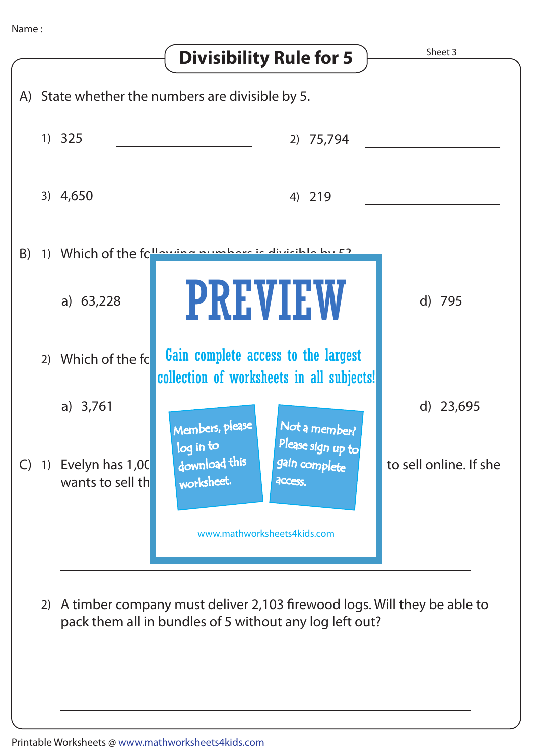